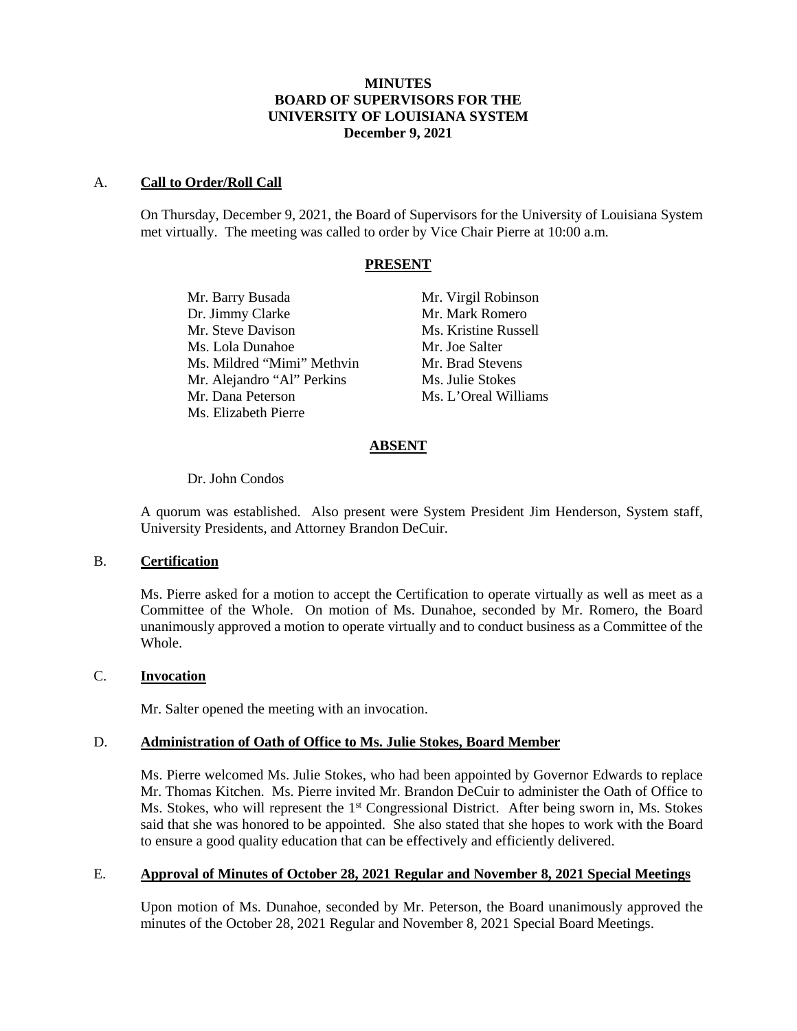# **MINUTES BOARD OF SUPERVISORS FOR THE UNIVERSITY OF LOUISIANA SYSTEM December 9, 2021**

### A. **Call to Order/Roll Call**

On Thursday, December 9, 2021, the Board of Supervisors for the University of Louisiana System met virtually. The meeting was called to order by Vice Chair Pierre at 10:00 a.m.

#### **PRESENT**

Mr. Barry Busada Mr. Virgil Robinson Dr. Jimmy Clarke Mr. Mark Romero Mr. Steve Davison Ms. Kristine Russell Ms. Lola Dunahoe Mr. Joe Salter Ms. Mildred "Mimi" Methvin Mr. Brad Stevens Mr. Alejandro "Al" Perkins Ms. Julie Stokes Mr. Dana Peterson Ms. L'Oreal Williams Ms. Elizabeth Pierre

# **ABSENT**

#### Dr. John Condos

A quorum was established. Also present were System President Jim Henderson, System staff, University Presidents, and Attorney Brandon DeCuir.

### B. **Certification**

Ms. Pierre asked for a motion to accept the Certification to operate virtually as well as meet as a Committee of the Whole. On motion of Ms. Dunahoe, seconded by Mr. Romero, the Board unanimously approved a motion to operate virtually and to conduct business as a Committee of the Whole.

#### C. **Invocation**

Mr. Salter opened the meeting with an invocation.

#### D. **Administration of Oath of Office to Ms. Julie Stokes, Board Member**

Ms. Pierre welcomed Ms. Julie Stokes, who had been appointed by Governor Edwards to replace Mr. Thomas Kitchen. Ms. Pierre invited Mr. Brandon DeCuir to administer the Oath of Office to Ms. Stokes, who will represent the  $1<sup>st</sup>$  Congressional District. After being sworn in, Ms. Stokes said that she was honored to be appointed. She also stated that she hopes to work with the Board to ensure a good quality education that can be effectively and efficiently delivered.

# E. **Approval of Minutes of October 28, 2021 Regular and November 8, 2021 Special Meetings**

Upon motion of Ms. Dunahoe, seconded by Mr. Peterson, the Board unanimously approved the minutes of the October 28, 2021 Regular and November 8, 2021 Special Board Meetings.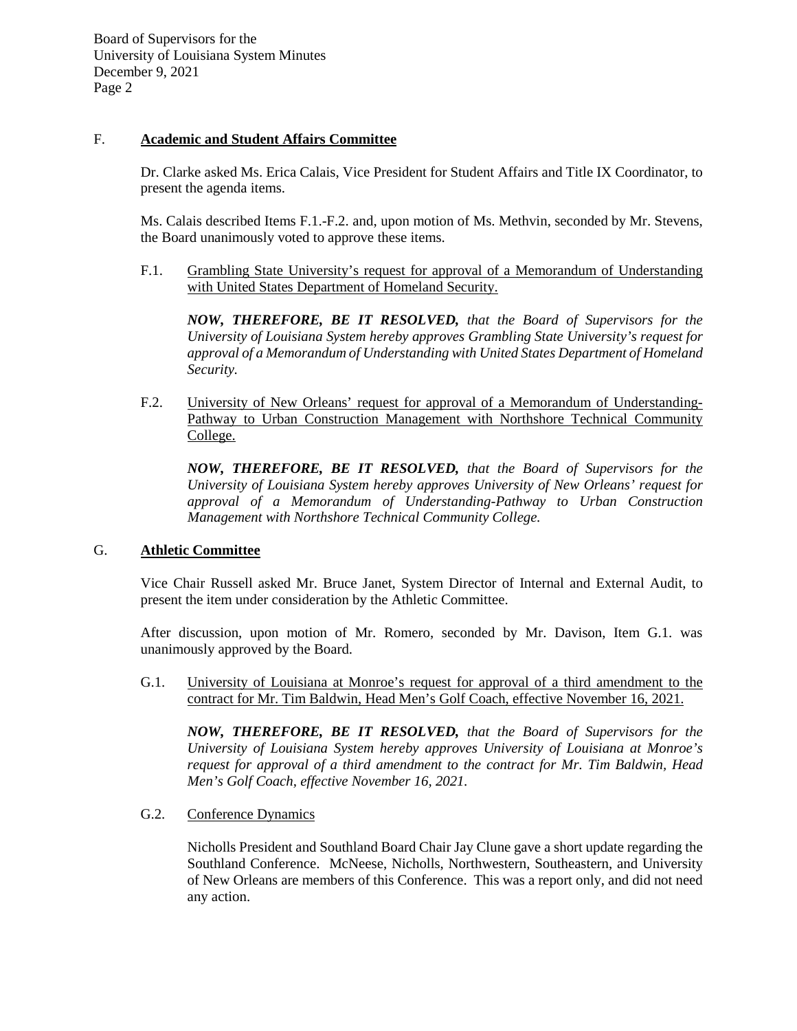# F. **Academic and Student Affairs Committee**

Dr. Clarke asked Ms. Erica Calais, Vice President for Student Affairs and Title IX Coordinator, to present the agenda items.

Ms. Calais described Items F.1.-F.2. and, upon motion of Ms. Methvin, seconded by Mr. Stevens, the Board unanimously voted to approve these items.

F.1. Grambling State University's request for approval of a Memorandum of Understanding with United States Department of Homeland Security.

*NOW, THEREFORE, BE IT RESOLVED, that the Board of Supervisors for the University of Louisiana System hereby approves Grambling State University's request for approval of a Memorandum of Understanding with United States Department of Homeland Security.*

F.2. University of New Orleans' request for approval of a Memorandum of Understanding-Pathway to Urban Construction Management with Northshore Technical Community College.

*NOW, THEREFORE, BE IT RESOLVED, that the Board of Supervisors for the University of Louisiana System hereby approves University of New Orleans' request for approval of a Memorandum of Understanding-Pathway to Urban Construction Management with Northshore Technical Community College.* 

#### G. **Athletic Committee**

Vice Chair Russell asked Mr. Bruce Janet, System Director of Internal and External Audit, to present the item under consideration by the Athletic Committee.

After discussion, upon motion of Mr. Romero, seconded by Mr. Davison, Item G.1. was unanimously approved by the Board.

G.1. University of Louisiana at Monroe's request for approval of a third amendment to the contract for Mr. Tim Baldwin, Head Men's Golf Coach, effective November 16, 2021.

*NOW, THEREFORE, BE IT RESOLVED, that the Board of Supervisors for the University of Louisiana System hereby approves University of Louisiana at Monroe's request for approval of a third amendment to the contract for Mr. Tim Baldwin, Head Men's Golf Coach, effective November 16, 2021.*

G.2. Conference Dynamics

Nicholls President and Southland Board Chair Jay Clune gave a short update regarding the Southland Conference. McNeese, Nicholls, Northwestern, Southeastern, and University of New Orleans are members of this Conference. This was a report only, and did not need any action.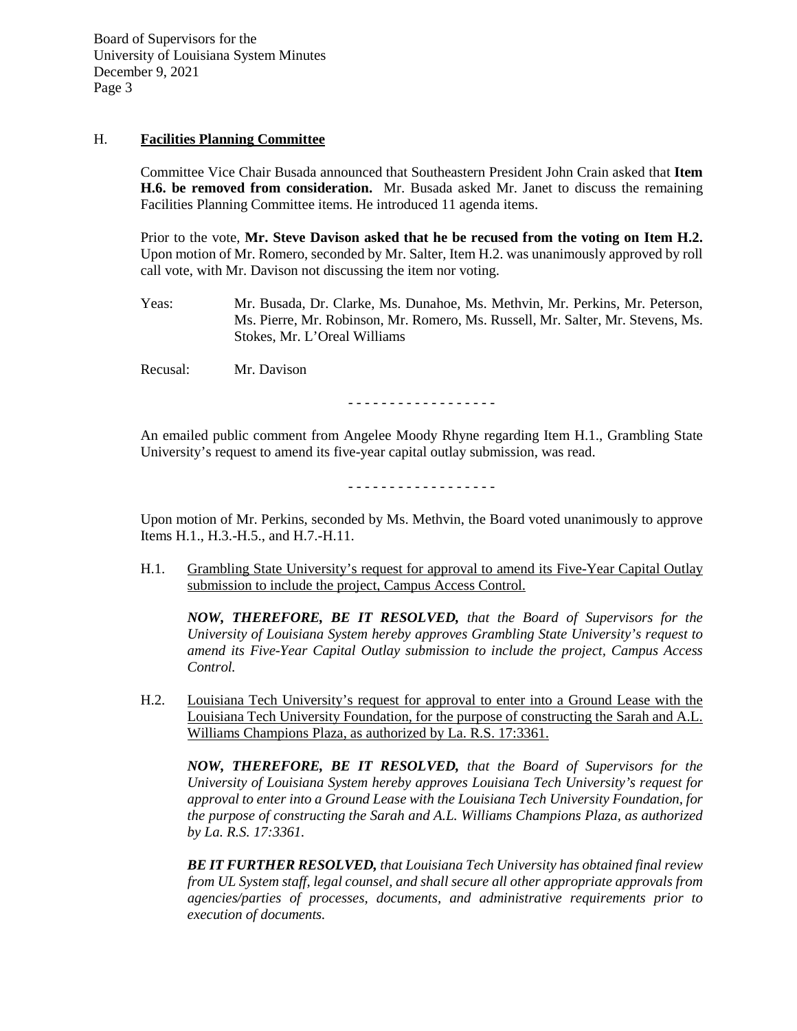### H. **Facilities Planning Committee**

Committee Vice Chair Busada announced that Southeastern President John Crain asked that **Item H.6. be removed from consideration.** Mr. Busada asked Mr. Janet to discuss the remaining Facilities Planning Committee items. He introduced 11 agenda items.

Prior to the vote, **Mr. Steve Davison asked that he be recused from the voting on Item H.2.** Upon motion of Mr. Romero, seconded by Mr. Salter, Item H.2. was unanimously approved by roll call vote, with Mr. Davison not discussing the item nor voting.

Yeas: Mr. Busada, Dr. Clarke, Ms. Dunahoe, Ms. Methvin, Mr. Perkins, Mr. Peterson, Ms. Pierre, Mr. Robinson, Mr. Romero, Ms. Russell, Mr. Salter, Mr. Stevens, Ms. Stokes, Mr. L'Oreal Williams

Recusal: Mr. Davison

- - - - - - - - - - - - - - - - - -

An emailed public comment from Angelee Moody Rhyne regarding Item H.1., Grambling State University's request to amend its five-year capital outlay submission, was read.

- - - - - - - - - - - - - - - - - -

Upon motion of Mr. Perkins, seconded by Ms. Methvin, the Board voted unanimously to approve Items H.1., H.3.-H.5., and H.7.-H.11.

H.1. Grambling State University's request for approval to amend its Five-Year Capital Outlay submission to include the project, Campus Access Control.

*NOW, THEREFORE, BE IT RESOLVED, that the Board of Supervisors for the University of Louisiana System hereby approves Grambling State University's request to amend its Five-Year Capital Outlay submission to include the project, Campus Access Control.* 

H.2. Louisiana Tech University's request for approval to enter into a Ground Lease with the Louisiana Tech University Foundation, for the purpose of constructing the Sarah and A.L. Williams Champions Plaza, as authorized by La. R.S. 17:3361.

*NOW, THEREFORE, BE IT RESOLVED, that the Board of Supervisors for the University of Louisiana System hereby approves Louisiana Tech University's request for approval to enter into a Ground Lease with the Louisiana Tech University Foundation, for the purpose of constructing the Sarah and A.L. Williams Champions Plaza, as authorized by La. R.S. 17:3361.*

*BE IT FURTHER RESOLVED, that Louisiana Tech University has obtained final review from UL System staff, legal counsel, and shall secure all other appropriate approvals from agencies/parties of processes, documents, and administrative requirements prior to execution of documents.*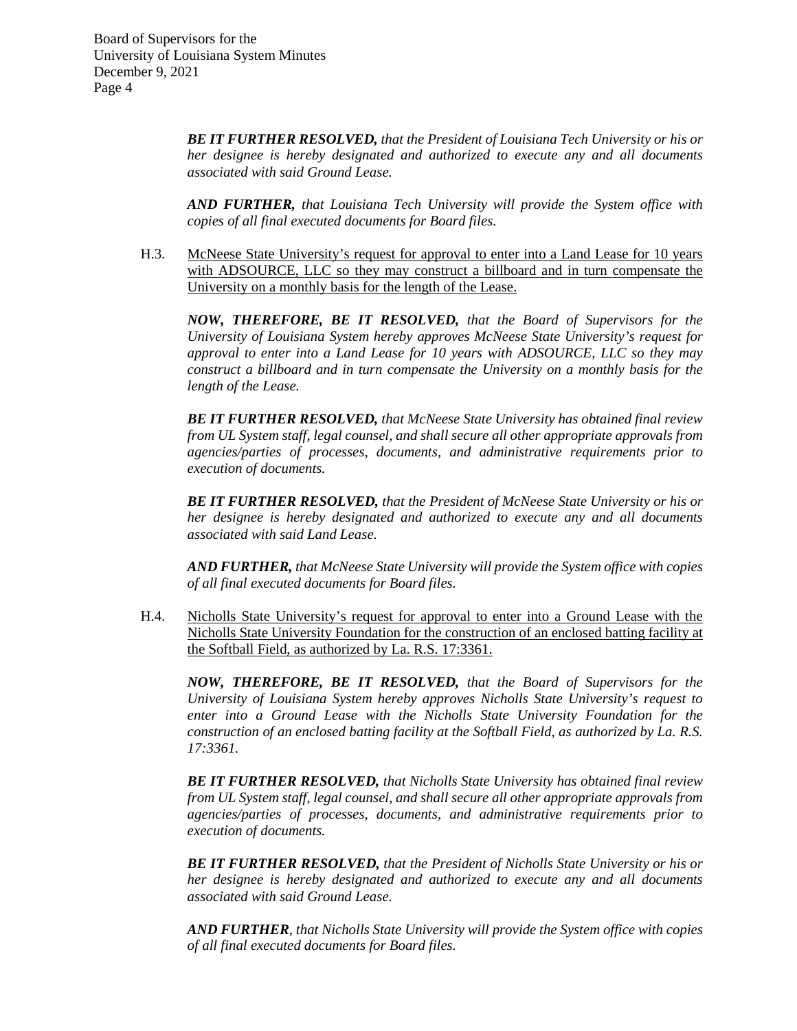> *BE IT FURTHER RESOLVED, that the President of Louisiana Tech University or his or her designee is hereby designated and authorized to execute any and all documents associated with said Ground Lease.*

> *AND FURTHER, that Louisiana Tech University will provide the System office with copies of all final executed documents for Board files.*

H.3. McNeese State University's request for approval to enter into a Land Lease for 10 years with ADSOURCE, LLC so they may construct a billboard and in turn compensate the University on a monthly basis for the length of the Lease.

*NOW, THEREFORE, BE IT RESOLVED, that the Board of Supervisors for the University of Louisiana System hereby approves McNeese State University's request for approval to enter into a Land Lease for 10 years with ADSOURCE, LLC so they may construct a billboard and in turn compensate the University on a monthly basis for the length of the Lease.*

*BE IT FURTHER RESOLVED, that McNeese State University has obtained final review from UL System staff, legal counsel, and shall secure all other appropriate approvals from agencies/parties of processes, documents, and administrative requirements prior to execution of documents.*

*BE IT FURTHER RESOLVED, that the President of McNeese State University or his or her designee is hereby designated and authorized to execute any and all documents associated with said Land Lease.*

*AND FURTHER, that McNeese State University will provide the System office with copies of all final executed documents for Board files.*

H.4. Nicholls State University's request for approval to enter into a Ground Lease with the Nicholls State University Foundation for the construction of an enclosed batting facility at the Softball Field, as authorized by La. R.S. 17:3361.

*NOW, THEREFORE, BE IT RESOLVED, that the Board of Supervisors for the University of Louisiana System hereby approves Nicholls State University's request to enter into a Ground Lease with the Nicholls State University Foundation for the construction of an enclosed batting facility at the Softball Field, as authorized by La. R.S. 17:3361.*

*BE IT FURTHER RESOLVED, that Nicholls State University has obtained final review from UL System staff, legal counsel, and shall secure all other appropriate approvals from agencies/parties of processes, documents, and administrative requirements prior to execution of documents.*

*BE IT FURTHER RESOLVED, that the President of Nicholls State University or his or her designee is hereby designated and authorized to execute any and all documents associated with said Ground Lease.*

*AND FURTHER, that Nicholls State University will provide the System office with copies of all final executed documents for Board files.*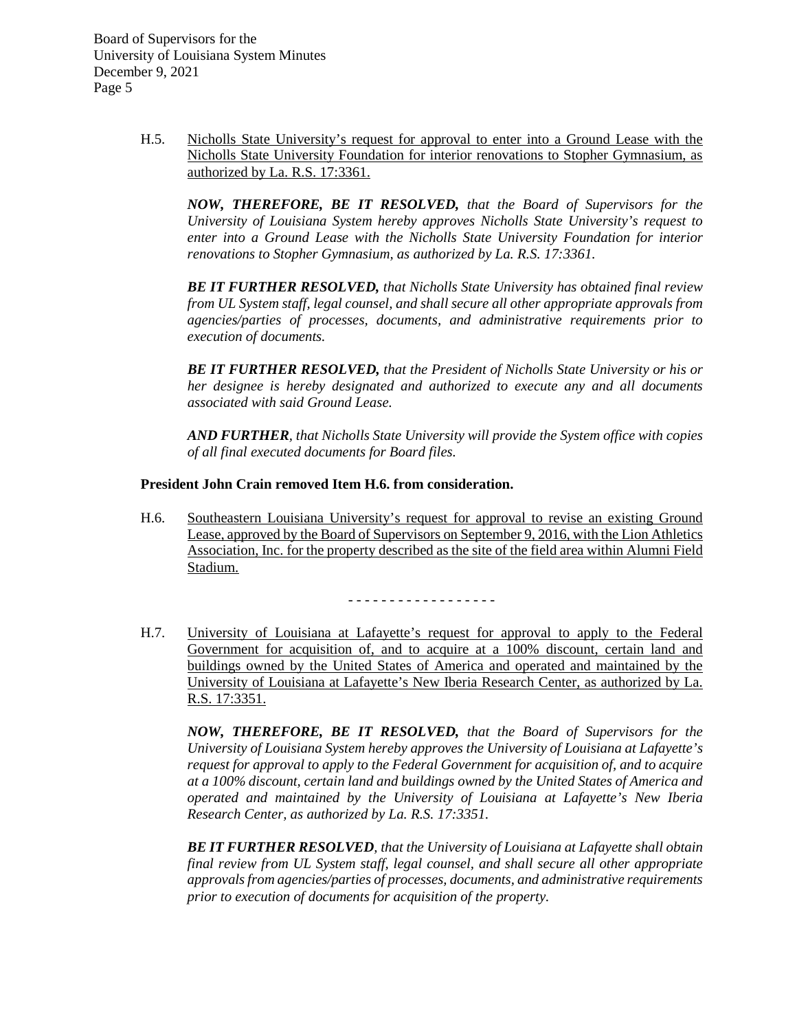> H.5. Nicholls State University's request for approval to enter into a Ground Lease with the Nicholls State University Foundation for interior renovations to Stopher Gymnasium, as authorized by La. R.S. 17:3361.

*NOW, THEREFORE, BE IT RESOLVED, that the Board of Supervisors for the University of Louisiana System hereby approves Nicholls State University's request to enter into a Ground Lease with the Nicholls State University Foundation for interior renovations to Stopher Gymnasium, as authorized by La. R.S. 17:3361.*

*BE IT FURTHER RESOLVED, that Nicholls State University has obtained final review from UL System staff, legal counsel, and shall secure all other appropriate approvals from agencies/parties of processes, documents, and administrative requirements prior to execution of documents.* 

*BE IT FURTHER RESOLVED, that the President of Nicholls State University or his or her designee is hereby designated and authorized to execute any and all documents associated with said Ground Lease.*

*AND FURTHER, that Nicholls State University will provide the System office with copies of all final executed documents for Board files.*

#### **President John Crain removed Item H.6. from consideration.**

H.6. Southeastern Louisiana University's request for approval to revise an existing Ground Lease, approved by the Board of Supervisors on September 9, 2016, with the Lion Athletics Association, Inc. for the property described as the site of the field area within Alumni Field Stadium.

- - - - - - - - - - - - - - - - - -

H.7. University of Louisiana at Lafayette's request for approval to apply to the Federal Government for acquisition of, and to acquire at a 100% discount, certain land and buildings owned by the United States of America and operated and maintained by the University of Louisiana at Lafayette's New Iberia Research Center, as authorized by La. R.S. 17:3351.

*NOW, THEREFORE, BE IT RESOLVED, that the Board of Supervisors for the University of Louisiana System hereby approves the University of Louisiana at Lafayette's request for approval to apply to the Federal Government for acquisition of, and to acquire at a 100% discount, certain land and buildings owned by the United States of America and operated and maintained by the University of Louisiana at Lafayette's New Iberia Research Center, as authorized by La. R.S. 17:3351.*

*BE IT FURTHER RESOLVED, that the University of Louisiana at Lafayette shall obtain final review from UL System staff, legal counsel, and shall secure all other appropriate approvals from agencies/parties of processes, documents, and administrative requirements prior to execution of documents for acquisition of the property.*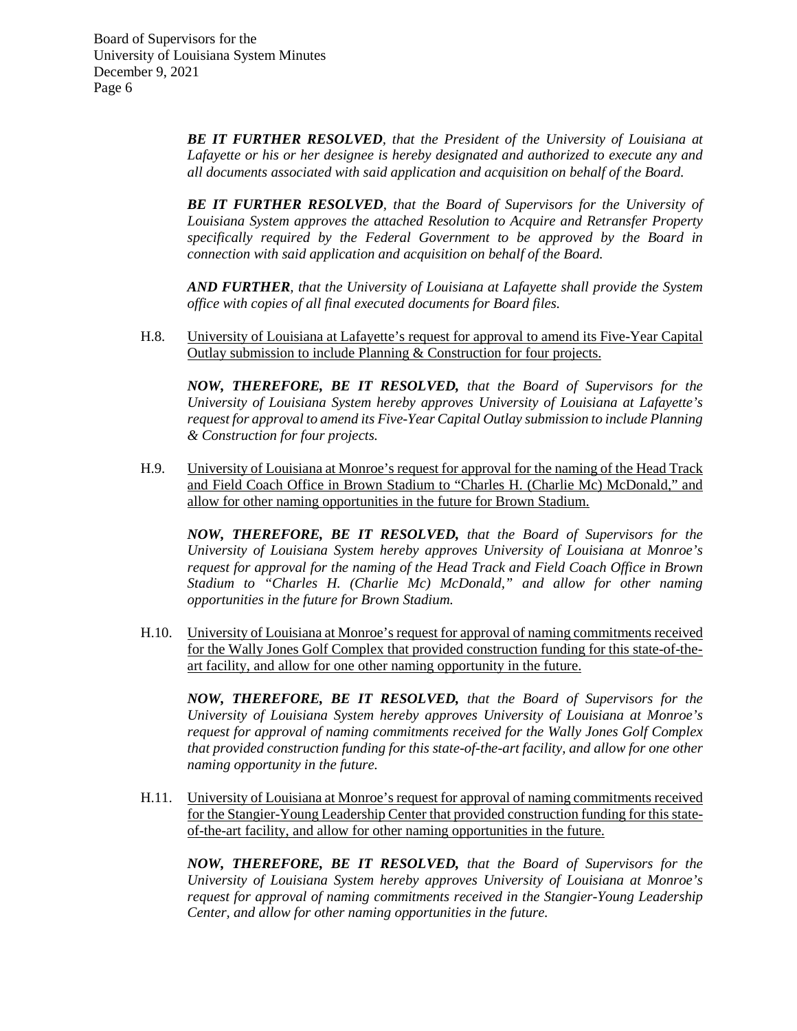> *BE IT FURTHER RESOLVED, that the President of the University of Louisiana at Lafayette or his or her designee is hereby designated and authorized to execute any and all documents associated with said application and acquisition on behalf of the Board.*

> *BE IT FURTHER RESOLVED, that the Board of Supervisors for the University of Louisiana System approves the attached Resolution to Acquire and Retransfer Property specifically required by the Federal Government to be approved by the Board in connection with said application and acquisition on behalf of the Board.*

> *AND FURTHER, that the University of Louisiana at Lafayette shall provide the System office with copies of all final executed documents for Board files.*

H.8. University of Louisiana at Lafayette's request for approval to amend its Five-Year Capital Outlay submission to include Planning & Construction for four projects.

*NOW, THEREFORE, BE IT RESOLVED, that the Board of Supervisors for the University of Louisiana System hereby approves University of Louisiana at Lafayette's request for approval to amend its Five-Year Capital Outlay submission to include Planning & Construction for four projects.*

H.9. University of Louisiana at Monroe's request for approval for the naming of the Head Track and Field Coach Office in Brown Stadium to "Charles H. (Charlie Mc) McDonald," and allow for other naming opportunities in the future for Brown Stadium.

*NOW, THEREFORE, BE IT RESOLVED, that the Board of Supervisors for the University of Louisiana System hereby approves University of Louisiana at Monroe's request for approval for the naming of the Head Track and Field Coach Office in Brown Stadium to "Charles H. (Charlie Mc) McDonald," and allow for other naming opportunities in the future for Brown Stadium.*

H.10. University of Louisiana at Monroe's request for approval of naming commitments received for the Wally Jones Golf Complex that provided construction funding for this state-of-theart facility, and allow for one other naming opportunity in the future.

*NOW, THEREFORE, BE IT RESOLVED, that the Board of Supervisors for the University of Louisiana System hereby approves University of Louisiana at Monroe's request for approval of naming commitments received for the Wally Jones Golf Complex that provided construction funding for this state-of-the-art facility, and allow for one other naming opportunity in the future.*

H.11. University of Louisiana at Monroe's request for approval of naming commitments received for the Stangier-Young Leadership Center that provided construction funding for this stateof-the-art facility, and allow for other naming opportunities in the future.

*NOW, THEREFORE, BE IT RESOLVED, that the Board of Supervisors for the University of Louisiana System hereby approves University of Louisiana at Monroe's request for approval of naming commitments received in the Stangier-Young Leadership Center, and allow for other naming opportunities in the future.*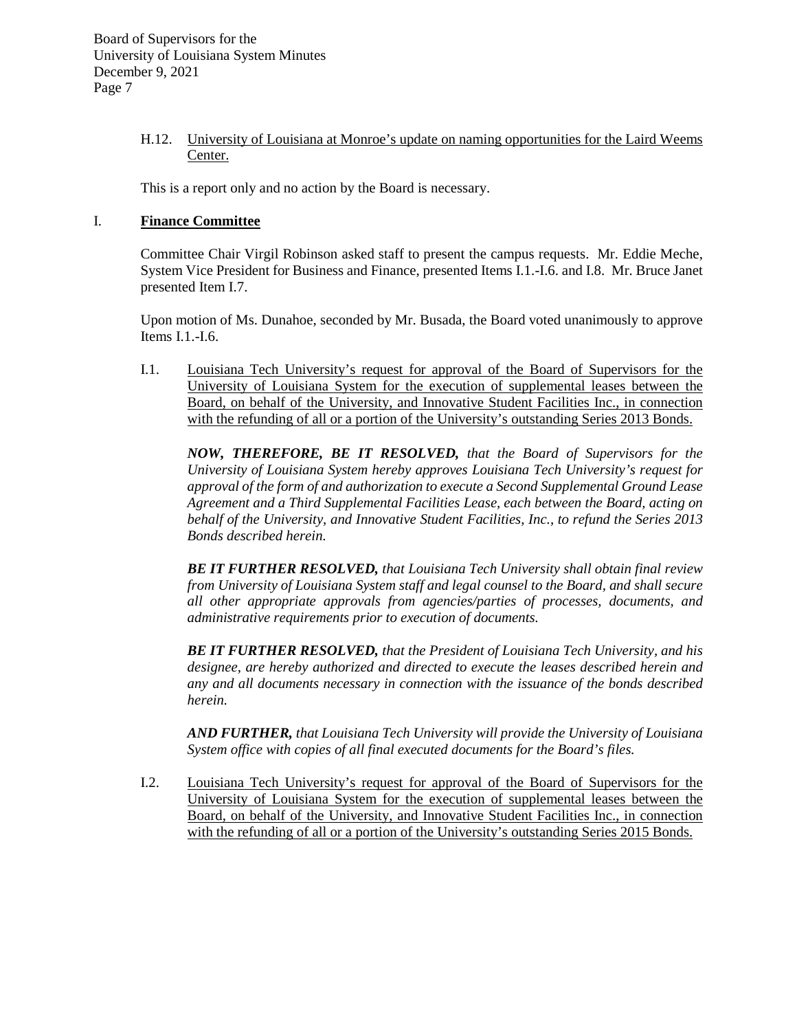# H.12. University of Louisiana at Monroe's update on naming opportunities for the Laird Weems Center.

This is a report only and no action by the Board is necessary.

# I. **Finance Committee**

Committee Chair Virgil Robinson asked staff to present the campus requests. Mr. Eddie Meche, System Vice President for Business and Finance, presented Items I.1.-I.6. and I.8. Mr. Bruce Janet presented Item I.7.

Upon motion of Ms. Dunahoe, seconded by Mr. Busada, the Board voted unanimously to approve Items I.1.-I.6.

I.1. Louisiana Tech University's request for approval of the Board of Supervisors for the University of Louisiana System for the execution of supplemental leases between the Board, on behalf of the University, and Innovative Student Facilities Inc., in connection with the refunding of all or a portion of the University's outstanding Series 2013 Bonds.

*NOW, THEREFORE, BE IT RESOLVED, that the Board of Supervisors for the University of Louisiana System hereby approves Louisiana Tech University's request for approval of the form of and authorization to execute a Second Supplemental Ground Lease Agreement and a Third Supplemental Facilities Lease, each between the Board, acting on behalf of the University, and Innovative Student Facilities, Inc., to refund the Series 2013 Bonds described herein.* 

*BE IT FURTHER RESOLVED, that Louisiana Tech University shall obtain final review from University of Louisiana System staff and legal counsel to the Board, and shall secure all other appropriate approvals from agencies/parties of processes, documents, and administrative requirements prior to execution of documents.* 

*BE IT FURTHER RESOLVED, that the President of Louisiana Tech University, and his designee, are hereby authorized and directed to execute the leases described herein and any and all documents necessary in connection with the issuance of the bonds described herein.*

*AND FURTHER, that Louisiana Tech University will provide the University of Louisiana System office with copies of all final executed documents for the Board's files.*

I.2. Louisiana Tech University's request for approval of the Board of Supervisors for the University of Louisiana System for the execution of supplemental leases between the Board, on behalf of the University, and Innovative Student Facilities Inc., in connection with the refunding of all or a portion of the University's outstanding Series 2015 Bonds.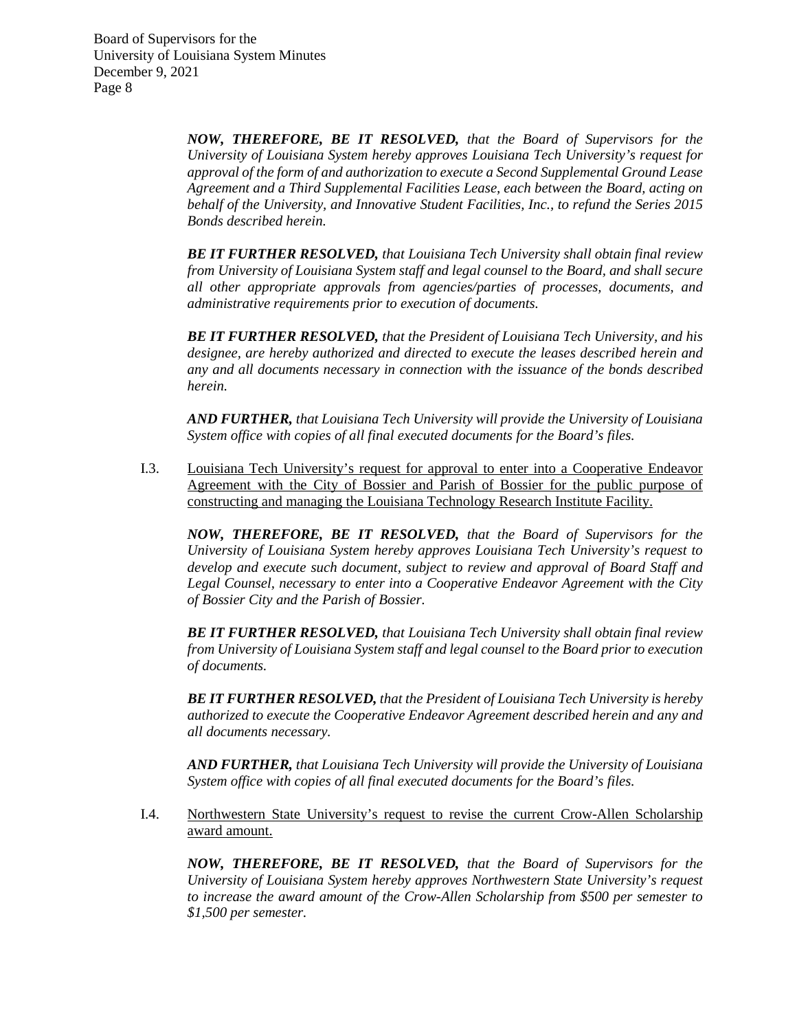> *NOW, THEREFORE, BE IT RESOLVED, that the Board of Supervisors for the University of Louisiana System hereby approves Louisiana Tech University's request for approval of the form of and authorization to execute a Second Supplemental Ground Lease Agreement and a Third Supplemental Facilities Lease, each between the Board, acting on behalf of the University, and Innovative Student Facilities, Inc., to refund the Series 2015 Bonds described herein.*

> *BE IT FURTHER RESOLVED, that Louisiana Tech University shall obtain final review from University of Louisiana System staff and legal counsel to the Board, and shall secure all other appropriate approvals from agencies/parties of processes, documents, and administrative requirements prior to execution of documents.*

> *BE IT FURTHER RESOLVED, that the President of Louisiana Tech University, and his designee, are hereby authorized and directed to execute the leases described herein and any and all documents necessary in connection with the issuance of the bonds described herein.*

> *AND FURTHER, that Louisiana Tech University will provide the University of Louisiana System office with copies of all final executed documents for the Board's files.*

I.3. Louisiana Tech University's request for approval to enter into a Cooperative Endeavor Agreement with the City of Bossier and Parish of Bossier for the public purpose of constructing and managing the Louisiana Technology Research Institute Facility.

*NOW, THEREFORE, BE IT RESOLVED, that the Board of Supervisors for the University of Louisiana System hereby approves Louisiana Tech University's request to develop and execute such document, subject to review and approval of Board Staff and Legal Counsel, necessary to enter into a Cooperative Endeavor Agreement with the City of Bossier City and the Parish of Bossier.*

*BE IT FURTHER RESOLVED, that Louisiana Tech University shall obtain final review from University of Louisiana System staff and legal counsel to the Board prior to execution of documents.* 

*BE IT FURTHER RESOLVED, that the President of Louisiana Tech University is hereby authorized to execute the Cooperative Endeavor Agreement described herein and any and all documents necessary.*

*AND FURTHER, that Louisiana Tech University will provide the University of Louisiana System office with copies of all final executed documents for the Board's files.*

I.4. Northwestern State University's request to revise the current Crow-Allen Scholarship award amount.

*NOW, THEREFORE, BE IT RESOLVED, that the Board of Supervisors for the University of Louisiana System hereby approves Northwestern State University's request to increase the award amount of the Crow-Allen Scholarship from \$500 per semester to \$1,500 per semester.*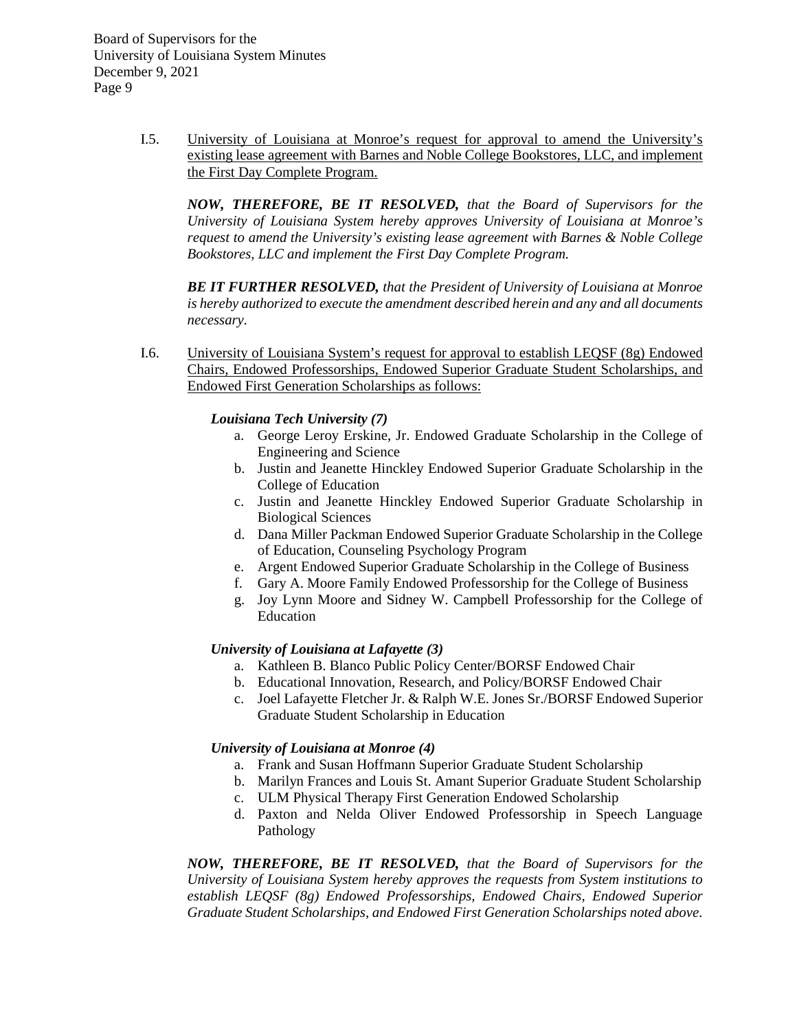> I.5. University of Louisiana at Monroe's request for approval to amend the University's existing lease agreement with Barnes and Noble College Bookstores, LLC, and implement the First Day Complete Program.

*NOW, THEREFORE, BE IT RESOLVED, that the Board of Supervisors for the University of Louisiana System hereby approves University of Louisiana at Monroe's request to amend the University's existing lease agreement with Barnes & Noble College Bookstores, LLC and implement the First Day Complete Program.*

*BE IT FURTHER RESOLVED, that the President of University of Louisiana at Monroe is hereby authorized to execute the amendment described herein and any and all documents necessary.*

I.6. University of Louisiana System's request for approval to establish LEQSF (8g) Endowed Chairs, Endowed Professorships, Endowed Superior Graduate Student Scholarships, and Endowed First Generation Scholarships as follows:

# *Louisiana Tech University (7)*

- a. George Leroy Erskine, Jr. Endowed Graduate Scholarship in the College of Engineering and Science
- b. Justin and Jeanette Hinckley Endowed Superior Graduate Scholarship in the College of Education
- c. Justin and Jeanette Hinckley Endowed Superior Graduate Scholarship in Biological Sciences
- d. Dana Miller Packman Endowed Superior Graduate Scholarship in the College of Education, Counseling Psychology Program
- e. Argent Endowed Superior Graduate Scholarship in the College of Business
- f. Gary A. Moore Family Endowed Professorship for the College of Business
- g. Joy Lynn Moore and Sidney W. Campbell Professorship for the College of Education

# *University of Louisiana at Lafayette (3)*

- a. Kathleen B. Blanco Public Policy Center/BORSF Endowed Chair
- b. Educational Innovation, Research, and Policy/BORSF Endowed Chair
- c. Joel Lafayette Fletcher Jr. & Ralph W.E. Jones Sr./BORSF Endowed Superior Graduate Student Scholarship in Education

# *University of Louisiana at Monroe (4)*

- a. Frank and Susan Hoffmann Superior Graduate Student Scholarship
- b. Marilyn Frances and Louis St. Amant Superior Graduate Student Scholarship
- c. ULM Physical Therapy First Generation Endowed Scholarship
- d. Paxton and Nelda Oliver Endowed Professorship in Speech Language Pathology

*NOW, THEREFORE, BE IT RESOLVED, that the Board of Supervisors for the University of Louisiana System hereby approves the requests from System institutions to establish LEQSF (8g) Endowed Professorships, Endowed Chairs, Endowed Superior Graduate Student Scholarships, and Endowed First Generation Scholarships noted above.*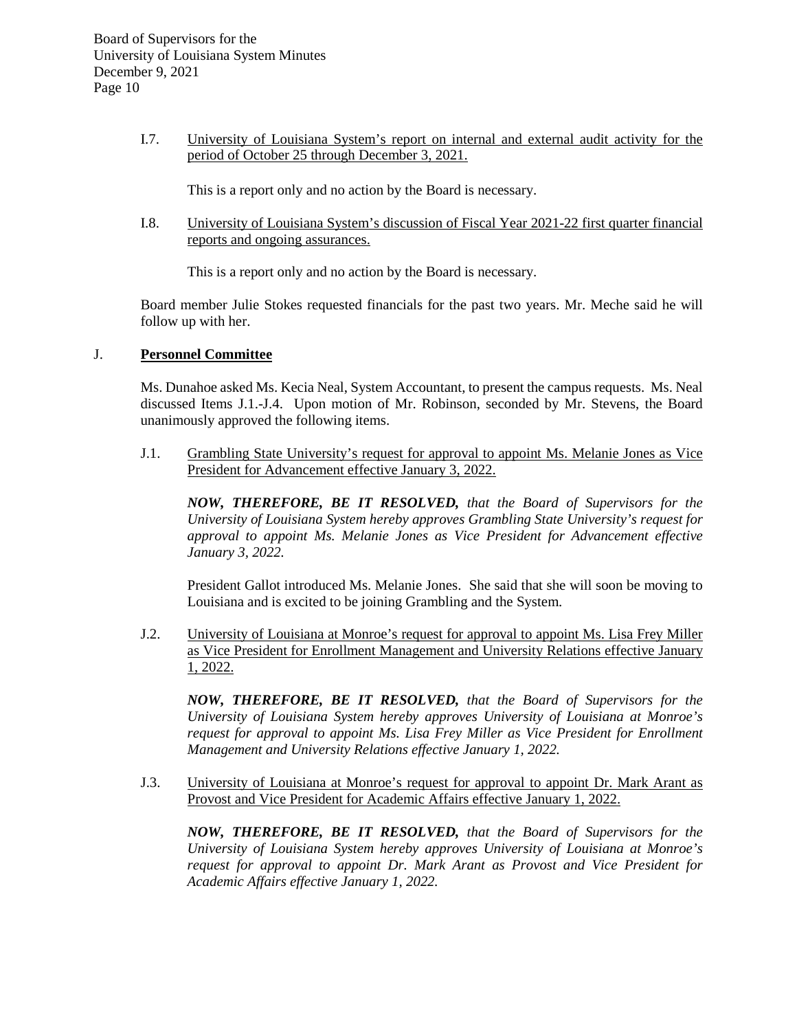I.7. University of Louisiana System's report on internal and external audit activity for the period of October 25 through December 3, 2021.

This is a report only and no action by the Board is necessary.

I.8. University of Louisiana System's discussion of Fiscal Year 2021-22 first quarter financial reports and ongoing assurances.

This is a report only and no action by the Board is necessary.

Board member Julie Stokes requested financials for the past two years. Mr. Meche said he will follow up with her.

# J. **Personnel Committee**

Ms. Dunahoe asked Ms. Kecia Neal, System Accountant, to present the campus requests. Ms. Neal discussed Items J.1.-J.4. Upon motion of Mr. Robinson, seconded by Mr. Stevens, the Board unanimously approved the following items.

J.1. Grambling State University's request for approval to appoint Ms. Melanie Jones as Vice President for Advancement effective January 3, 2022.

*NOW, THEREFORE, BE IT RESOLVED, that the Board of Supervisors for the University of Louisiana System hereby approves Grambling State University's request for approval to appoint Ms. Melanie Jones as Vice President for Advancement effective January 3, 2022.*

President Gallot introduced Ms. Melanie Jones. She said that she will soon be moving to Louisiana and is excited to be joining Grambling and the System.

J.2. University of Louisiana at Monroe's request for approval to appoint Ms. Lisa Frey Miller as Vice President for Enrollment Management and University Relations effective January 1, 2022.

*NOW, THEREFORE, BE IT RESOLVED, that the Board of Supervisors for the University of Louisiana System hereby approves University of Louisiana at Monroe's request for approval to appoint Ms. Lisa Frey Miller as Vice President for Enrollment Management and University Relations effective January 1, 2022.*

J.3. University of Louisiana at Monroe's request for approval to appoint Dr. Mark Arant as Provost and Vice President for Academic Affairs effective January 1, 2022.

*NOW, THEREFORE, BE IT RESOLVED, that the Board of Supervisors for the University of Louisiana System hereby approves University of Louisiana at Monroe's request for approval to appoint Dr. Mark Arant as Provost and Vice President for Academic Affairs effective January 1, 2022.*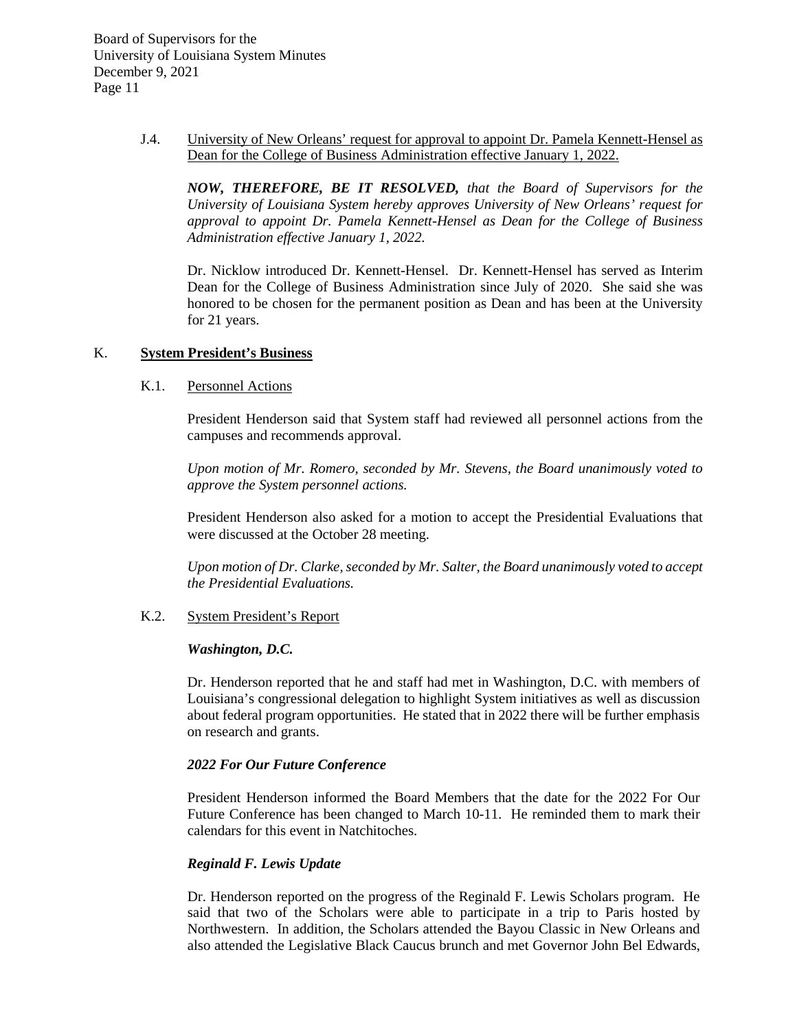> J.4. University of New Orleans' request for approval to appoint Dr. Pamela Kennett-Hensel as Dean for the College of Business Administration effective January 1, 2022.

*NOW, THEREFORE, BE IT RESOLVED, that the Board of Supervisors for the University of Louisiana System hereby approves University of New Orleans' request for approval to appoint Dr. Pamela Kennett-Hensel as Dean for the College of Business Administration effective January 1, 2022.*

Dr. Nicklow introduced Dr. Kennett-Hensel. Dr. Kennett-Hensel has served as Interim Dean for the College of Business Administration since July of 2020. She said she was honored to be chosen for the permanent position as Dean and has been at the University for 21 years.

#### K. **System President's Business**

# K.1. Personnel Actions

President Henderson said that System staff had reviewed all personnel actions from the campuses and recommends approval.

*Upon motion of Mr. Romero, seconded by Mr. Stevens, the Board unanimously voted to approve the System personnel actions.*

President Henderson also asked for a motion to accept the Presidential Evaluations that were discussed at the October 28 meeting.

*Upon motion of Dr. Clarke, seconded by Mr. Salter, the Board unanimously voted to accept the Presidential Evaluations.*

#### K.2. System President's Report

#### *Washington, D.C.*

Dr. Henderson reported that he and staff had met in Washington, D.C. with members of Louisiana's congressional delegation to highlight System initiatives as well as discussion about federal program opportunities. He stated that in 2022 there will be further emphasis on research and grants.

# *2022 For Our Future Conference*

President Henderson informed the Board Members that the date for the 2022 For Our Future Conference has been changed to March 10-11. He reminded them to mark their calendars for this event in Natchitoches.

# *Reginald F. Lewis Update*

Dr. Henderson reported on the progress of the Reginald F. Lewis Scholars program. He said that two of the Scholars were able to participate in a trip to Paris hosted by Northwestern. In addition, the Scholars attended the Bayou Classic in New Orleans and also attended the Legislative Black Caucus brunch and met Governor John Bel Edwards,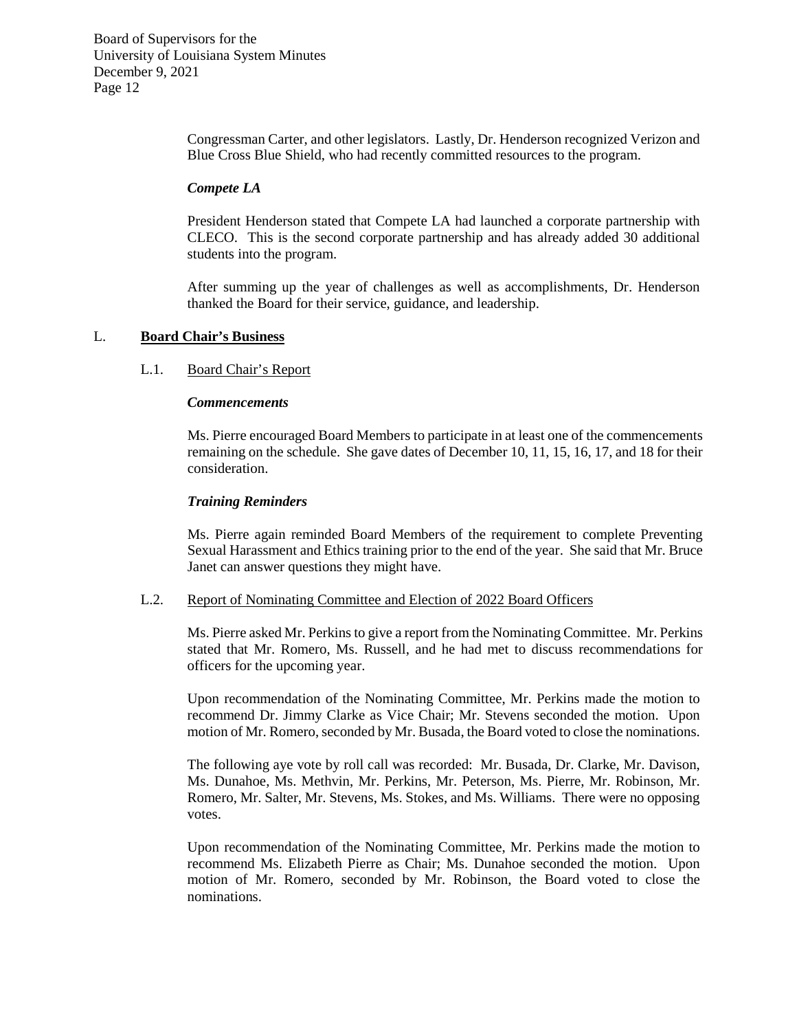> Congressman Carter, and other legislators. Lastly, Dr. Henderson recognized Verizon and Blue Cross Blue Shield, who had recently committed resources to the program.

#### *Compete LA*

President Henderson stated that Compete LA had launched a corporate partnership with CLECO. This is the second corporate partnership and has already added 30 additional students into the program.

After summing up the year of challenges as well as accomplishments, Dr. Henderson thanked the Board for their service, guidance, and leadership.

#### L. **Board Chair's Business**

#### L.1. Board Chair's Report

#### *Commencements*

Ms. Pierre encouraged Board Members to participate in at least one of the commencements remaining on the schedule. She gave dates of December 10, 11, 15, 16, 17, and 18 for their consideration.

#### *Training Reminders*

Ms. Pierre again reminded Board Members of the requirement to complete Preventing Sexual Harassment and Ethics training prior to the end of the year. She said that Mr. Bruce Janet can answer questions they might have.

#### L.2. Report of Nominating Committee and Election of 2022 Board Officers

Ms. Pierre asked Mr. Perkins to give a report from the Nominating Committee. Mr. Perkins stated that Mr. Romero, Ms. Russell, and he had met to discuss recommendations for officers for the upcoming year.

Upon recommendation of the Nominating Committee, Mr. Perkins made the motion to recommend Dr. Jimmy Clarke as Vice Chair; Mr. Stevens seconded the motion. Upon motion of Mr. Romero, seconded by Mr. Busada, the Board voted to close the nominations.

The following aye vote by roll call was recorded: Mr. Busada, Dr. Clarke, Mr. Davison, Ms. Dunahoe, Ms. Methvin, Mr. Perkins, Mr. Peterson, Ms. Pierre, Mr. Robinson, Mr. Romero, Mr. Salter, Mr. Stevens, Ms. Stokes, and Ms. Williams. There were no opposing votes.

Upon recommendation of the Nominating Committee, Mr. Perkins made the motion to recommend Ms. Elizabeth Pierre as Chair; Ms. Dunahoe seconded the motion. Upon motion of Mr. Romero, seconded by Mr. Robinson, the Board voted to close the nominations.